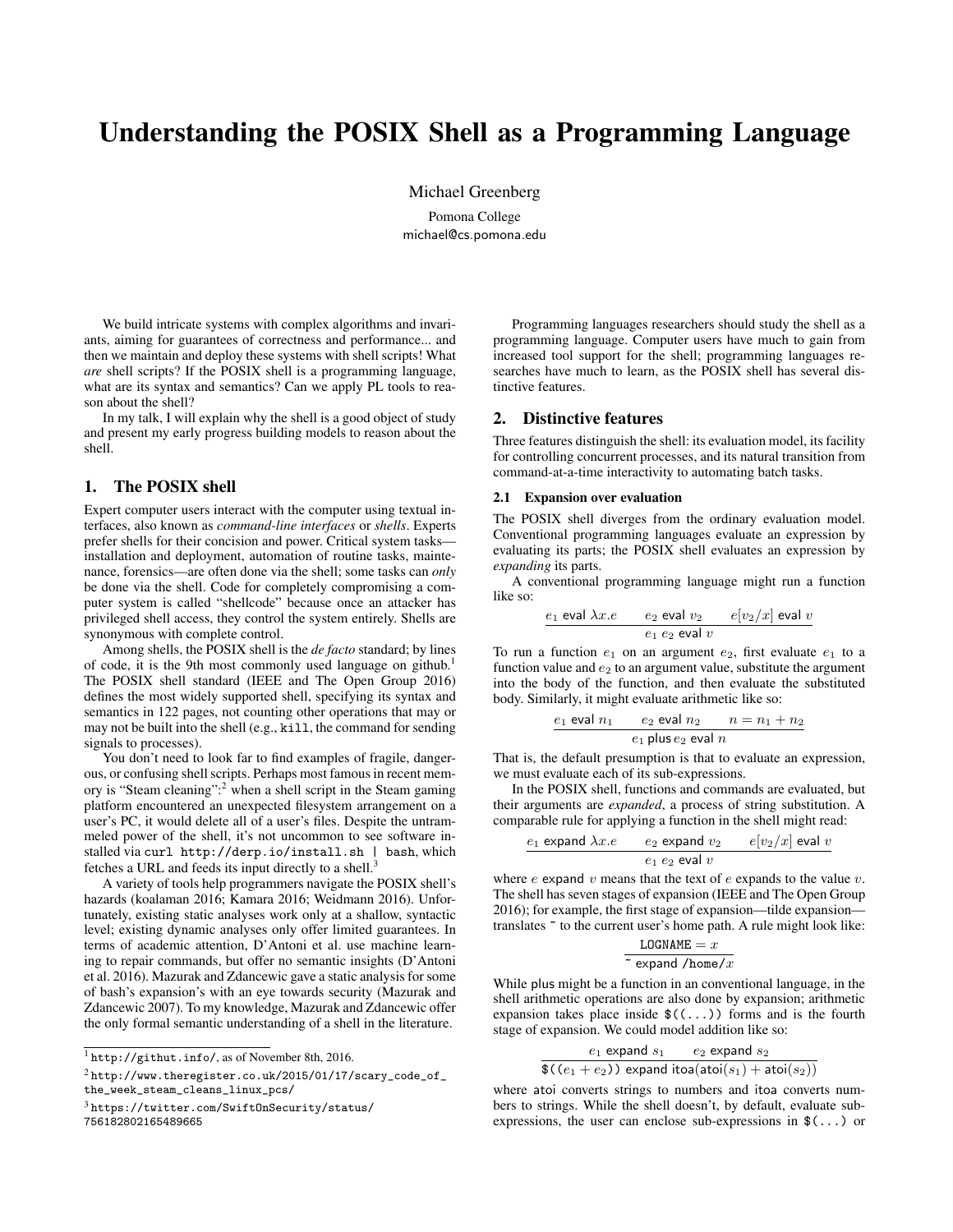# Understanding the POSIX Shell as a Programming Language

Michael Greenberg

Pomona College michael@cs.pomona.edu

We build intricate systems with complex algorithms and invariants, aiming for guarantees of correctness and performance... and then we maintain and deploy these systems with shell scripts! What *are* shell scripts? If the POSIX shell is a programming language, what are its syntax and semantics? Can we apply PL tools to reason about the shell?

In my talk, I will explain why the shell is a good object of study and present my early progress building models to reason about the shell.

## 1. The POSIX shell

Expert computer users interact with the computer using textual interfaces, also known as *command-line interfaces* or *shells*. Experts prefer shells for their concision and power. Critical system tasks installation and deployment, automation of routine tasks, maintenance, forensics—are often done via the shell; some tasks can *only* be done via the shell. Code for completely compromising a computer system is called "shellcode" because once an attacker has privileged shell access, they control the system entirely. Shells are synonymous with complete control.

Among shells, the POSIX shell is the *de facto* standard; by lines of code, it is the 9th most commonly used language on github.<sup>1</sup> The POSIX shell standard (IEEE and The Open Group 2016) defines the most widely supported shell, specifying its syntax and semantics in 122 pages, not counting other operations that may or may not be built into the shell (e.g., kill, the command for sending signals to processes).

You don't need to look far to find examples of fragile, dangerous, or confusing shell scripts. Perhaps most famous in recent memory is "Steam cleaning":<sup>2</sup> when a shell script in the Steam gaming platform encountered an unexpected filesystem arrangement on a user's PC, it would delete all of a user's files. Despite the untrammeled power of the shell, it's not uncommon to see software installed via curl http://derp.io/install.sh | bash, which fetches a URL and feeds its input directly to a shell.<sup>3</sup>

A variety of tools help programmers navigate the POSIX shell's hazards (koalaman 2016; Kamara 2016; Weidmann 2016). Unfortunately, existing static analyses work only at a shallow, syntactic level; existing dynamic analyses only offer limited guarantees. In terms of academic attention, D'Antoni et al. use machine learning to repair commands, but offer no semantic insights (D'Antoni et al. 2016). Mazurak and Zdancewic gave a static analysis for some of bash's expansion's with an eye towards security (Mazurak and Zdancewic 2007). To my knowledge, Mazurak and Zdancewic offer the only formal semantic understanding of a shell in the literature.

756182802165489665

Programming languages researchers should study the shell as a programming language. Computer users have much to gain from increased tool support for the shell; programming languages researches have much to learn, as the POSIX shell has several distinctive features.

### 2. Distinctive features

Three features distinguish the shell: its evaluation model, its facility for controlling concurrent processes, and its natural transition from command-at-a-time interactivity to automating batch tasks.

#### 2.1 Expansion over evaluation

The POSIX shell diverges from the ordinary evaluation model. Conventional programming languages evaluate an expression by evaluating its parts; the POSIX shell evaluates an expression by *expanding* its parts.

A conventional programming language might run a function like so:

$$
\frac{e_1 \text{ eval } \lambda x.e}{e_1 e_2 \text{ eval } v} \cdot \frac{e[v_2/x] \text{ eval } v}{e_1 e_2 \text{ eval } v}
$$

To run a function  $e_1$  on an argument  $e_2$ , first evaluate  $e_1$  to a function value and  $e_2$  to an argument value, substitute the argument into the body of the function, and then evaluate the substituted body. Similarly, it might evaluate arithmetic like so:

$$
\frac{e_1 \text{ eval } n_1}{e_1 \text{ plus } e_2 \text{ eval } n} \cdot \frac{n = n_1 + n_2}{n}
$$

That is, the default presumption is that to evaluate an expression, we must evaluate each of its sub-expressions.

In the POSIX shell, functions and commands are evaluated, but their arguments are *expanded*, a process of string substitution. A comparable rule for applying a function in the shell might read:

$$
\underbrace{e_1 \text{ expand } \lambda x.e}_{e_1 \ e_2 \text{ expand } v_2} \quad \underbrace{e[v_2/x] \text{ eval } v}_{e_1 \ e_2 \text{ eval } v}
$$

where  $e$  expand  $v$  means that the text of  $e$  expands to the value  $v$ . The shell has seven stages of expansion (IEEE and The Open Group 2016); for example, the first stage of expansion—tilde expansion translates ~ to the current user's home path. A rule might look like:

$$
\frac{\text{LOGNAME} = x}{\sim \text{expand/home}/x}
$$

While plus might be a function in an conventional language, in the shell arithmetic operations are also done by expansion; arithmetic expansion takes place inside  $\$((...))$  forms and is the fourth stage of expansion. We could model addition like so:

$$
\frac{e_1 \text{ expand } s_1}{\$(e_1 + e_2)$ expand itoa(atoi(s_1) + atoi(s_2))}
$$

where atoi converts strings to numbers and itoa converts numbers to strings. While the shell doesn't, by default, evaluate subexpressions, the user can enclose sub-expressions in \$(...) or

 $^{\rm l}$ http://githut.info/, as of November 8th, 2016.

 $2$ http://www.theregister.co.uk/2015/01/17/scary\_code\_of\_ the\_week\_steam\_cleans\_linux\_pcs/

<sup>3</sup> https://twitter.com/SwiftOnSecurity/status/